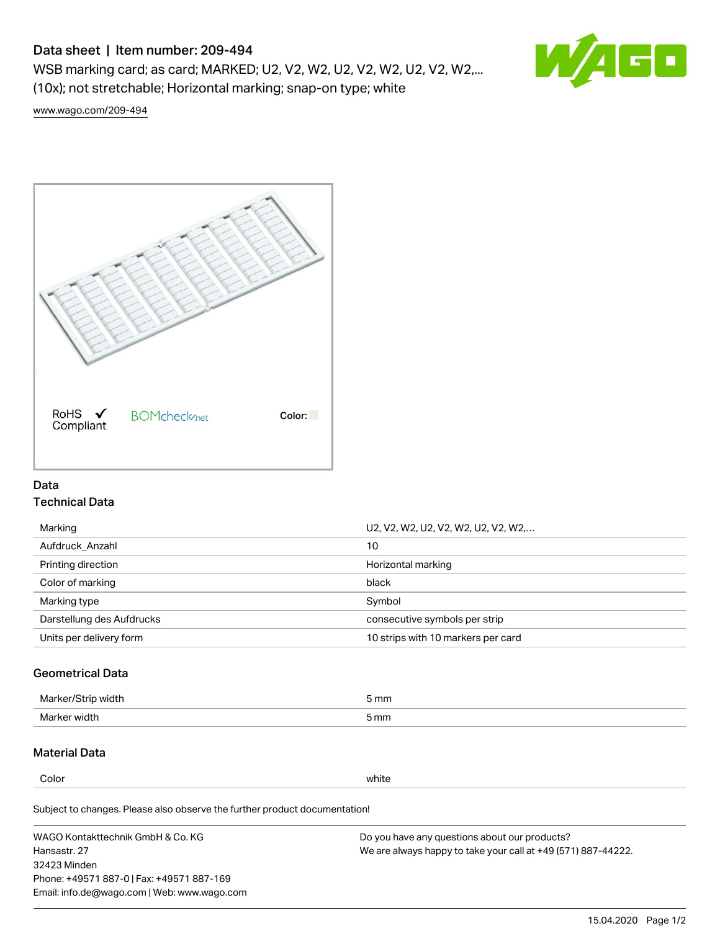# Data sheet | Item number: 209-494

WSB marking card; as card; MARKED; U2, V2, W2, U2, V2, W2, U2, V2, W2,... (10x); not stretchable; Horizontal marking; snap-on type; white



[www.wago.com/209-494](http://www.wago.com/209-494)



## Data Technical Data

| Marking                   | U2, V2, W2, U2, V2, W2, U2, V2, W2, |
|---------------------------|-------------------------------------|
| Aufdruck Anzahl           | 10                                  |
| Printing direction        | Horizontal marking                  |
| Color of marking          | black                               |
| Marking type              | Symbol                              |
| Darstellung des Aufdrucks | consecutive symbols per strip       |
| Units per delivery form   | 10 strips with 10 markers per card  |

## Geometrical Data

| طلقاء ئ<br><b>Marker</b><br>widtr | ັກmm |
|-----------------------------------|------|
| Marker width                      | 5 mm |

## Material Data

Color white

Subject to changes. Please also observe the further product documentation!

WAGO Kontakttechnik GmbH & Co. KG Hansastr. 27 32423 Minden Phone: +49571 887-0 | Fax: +49571 887-169 Email: info.de@wago.com | Web: www.wago.com Do you have any questions about our products? We are always happy to take your call at +49 (571) 887-44222.